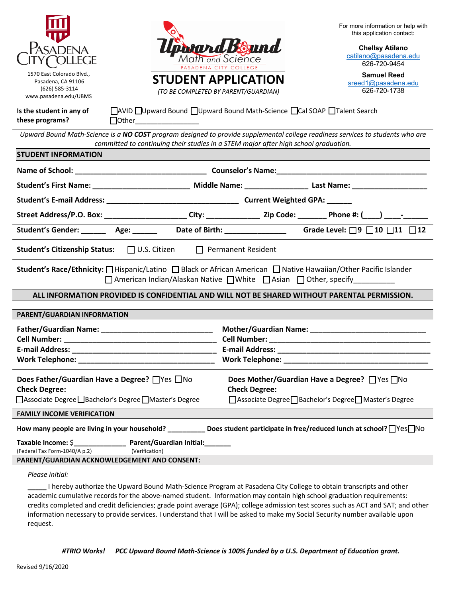| <b>ASADENA</b><br>1570 East Colorado Blvd.,<br>Pasadena, CA 91106<br>(626) 585-3114<br>www.pasadena.edu/UBMS                                                                                                                                        | lpirard Bound<br>Math and Science<br><b>ASADENA CITY COLLEGE</b><br><b>STUDENT APPLICATION</b><br>(TO BE COMPLETED BY PARENT/GUARDIAN) |                                                                                                                                    | For more information or help with<br>this application contact:<br><b>Chellsy Atilano</b><br>catilano@pasadena.edu<br>626-720-9454<br><b>Samuel Reed</b><br>sreed1@pasadena.edu<br>626-720-1738 |  |
|-----------------------------------------------------------------------------------------------------------------------------------------------------------------------------------------------------------------------------------------------------|----------------------------------------------------------------------------------------------------------------------------------------|------------------------------------------------------------------------------------------------------------------------------------|------------------------------------------------------------------------------------------------------------------------------------------------------------------------------------------------|--|
| Is the student in any of<br>these programs?                                                                                                                                                                                                         | □ AVID □ Upward Bound □ Upward Bound Math-Science □ Cal SOAP □ Talent Search<br>$\Box$ Other                                           |                                                                                                                                    |                                                                                                                                                                                                |  |
| Upward Bound Math-Science is a NO COST program designed to provide supplemental college readiness services to students who are<br>committed to continuing their studies in a STEM major after high school graduation.<br><b>STUDENT INFORMATION</b> |                                                                                                                                        |                                                                                                                                    |                                                                                                                                                                                                |  |
|                                                                                                                                                                                                                                                     |                                                                                                                                        |                                                                                                                                    |                                                                                                                                                                                                |  |
|                                                                                                                                                                                                                                                     |                                                                                                                                        |                                                                                                                                    |                                                                                                                                                                                                |  |
|                                                                                                                                                                                                                                                     |                                                                                                                                        |                                                                                                                                    |                                                                                                                                                                                                |  |
| Street Address/P.O. Box: ________________________City: _________________ Zip Code: _________ Phone #: (____) ____-_____                                                                                                                             |                                                                                                                                        |                                                                                                                                    |                                                                                                                                                                                                |  |
|                                                                                                                                                                                                                                                     |                                                                                                                                        |                                                                                                                                    |                                                                                                                                                                                                |  |
| Student's Gender: _______ Age: _______ Date of Birth: _______________ Grade Level: □9 □10 □11 □12                                                                                                                                                   |                                                                                                                                        |                                                                                                                                    |                                                                                                                                                                                                |  |
| Student's Citizenship Status: JU.S. Citizen J Permanent Resident                                                                                                                                                                                    |                                                                                                                                        |                                                                                                                                    |                                                                                                                                                                                                |  |
| Student's Race/Ethnicity: □ Hispanic/Latino □ Black or African American □ Native Hawaiian/Other Pacific Islander<br>□ American Indian/Alaskan Native □ White □ Asian □ Other, specify_________                                                      |                                                                                                                                        |                                                                                                                                    |                                                                                                                                                                                                |  |
|                                                                                                                                                                                                                                                     |                                                                                                                                        |                                                                                                                                    | ALL INFORMATION PROVIDED IS CONFIDENTIAL AND WILL NOT BE SHARED WITHOUT PARENTAL PERMISSION.                                                                                                   |  |
| PARENT/GUARDIAN INFORMATION                                                                                                                                                                                                                         |                                                                                                                                        |                                                                                                                                    |                                                                                                                                                                                                |  |
| E-mail Address:                                                                                                                                                                                                                                     |                                                                                                                                        |                                                                                                                                    |                                                                                                                                                                                                |  |
| Does Father/Guardian Have a Degree? □ Yes □ No<br><b>Check Degree:</b><br>□ Associate Degree □ Bachelor's Degree □ Master's Degree                                                                                                                  |                                                                                                                                        | Does Mother/Guardian Have a Degree? □ Yes □ No<br><b>Check Degree:</b><br>□ Associate Degree □ Bachelor's Degree □ Master's Degree |                                                                                                                                                                                                |  |
| <b>FAMILY INCOME VERIFICATION</b>                                                                                                                                                                                                                   |                                                                                                                                        |                                                                                                                                    |                                                                                                                                                                                                |  |
| How many people are living in your household? _____________ Does student participate in free/reduced lunch at school? Uses Mo                                                                                                                       |                                                                                                                                        |                                                                                                                                    |                                                                                                                                                                                                |  |
| (Federal Tax Form-1040/A p.2) (Verification)<br>PARENT/GUARDIAN ACKNOWLEDGEMENT AND CONSENT:                                                                                                                                                        |                                                                                                                                        |                                                                                                                                    |                                                                                                                                                                                                |  |
|                                                                                                                                                                                                                                                     |                                                                                                                                        |                                                                                                                                    |                                                                                                                                                                                                |  |

*Please initial:*

**\_\_\_\_\_** I hereby authorize the Upward Bound Math-Science Program at Pasadena City College to obtain transcripts and other academic cumulative records for the above-named student. Information may contain high school graduation requirements: credits completed and credit deficiencies; grade point average (GPA); college admission test scores such as ACT and SAT; and other information necessary to provide services. I understand that I will be asked to make my Social Security number available upon request.

*#TRIO Works! PCC Upward Bound Math-Science is 100% funded by a U.S. Department of Education grant.*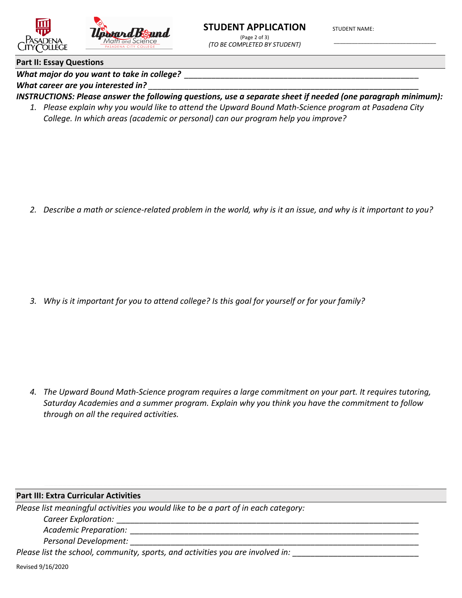

(Page 2 of 3) (TO BE COMPLETED BY STUDENT) **STUDENT NAME:** 

### **Part II: Essay Questions**

What major do you want to take in college?

What career are you interested in?

INSTRUCTIONS: Please answer the following questions, use a separate sheet if needed (one paragraph minimum):

1. Please explain why you would like to attend the Upward Bound Math-Science program at Pasadena City College. In which areas (academic or personal) can our program help you improve?

2. Describe a math or science-related problem in the world, why is it an issue, and why is it important to you?

3. Why is it important for you to attend college? Is this goal for yourself or for your family?

4. The Upward Bound Math-Science program requires a large commitment on your part. It requires tutoring, Saturday Academies and a summer program. Explain why you think you have the commitment to follow through on all the required activities.

## **Part III: Extra Curricular Activities**

Please list meaningful activities you would like to be a part of in each category:

Career Exploration:

Academic Preparation: National Academic Preparation:

Personal Development:

Please list the school, community, sports, and activities you are involved in: